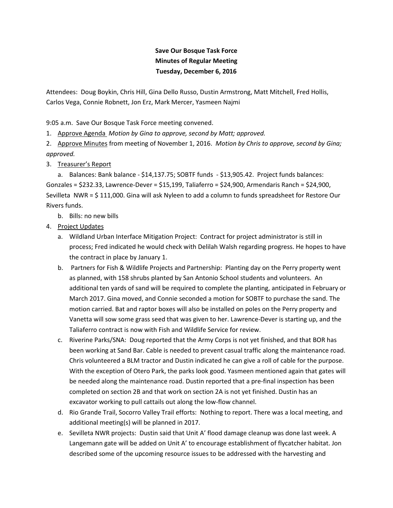## **Save Our Bosque Task Force Minutes of Regular Meeting Tuesday, December 6, 2016**

Attendees: Doug Boykin, Chris Hill, Gina Dello Russo, Dustin Armstrong, Matt Mitchell, Fred Hollis, Carlos Vega, Connie Robnett, Jon Erz, Mark Mercer, Yasmeen Najmi

9:05 a.m. Save Our Bosque Task Force meeting convened.

1. Approve Agenda *Motion by Gina to approve, second by Matt; approved.* 

2. Approve Minutes from meeting of November 1, 2016. *Motion by Chris to approve, second by Gina; approved.* 

## 3. Treasurer's Report

 a. Balances: Bank balance - \$14,137.75; SOBTF funds - \$13,905.42. Project funds balances: Gonzales = \$232.33, Lawrence-Dever = \$15,199, Taliaferro = \$24,900, Armendaris Ranch = \$24,900, Sevilleta NWR = \$ 111,000. Gina will ask Nyleen to add a column to funds spreadsheet for Restore Our Rivers funds.

- b. Bills: no new bills
- 4. Project Updates
	- a. Wildland Urban Interface Mitigation Project: Contract for project administrator is still in process; Fred indicated he would check with Delilah Walsh regarding progress. He hopes to have the contract in place by January 1.
	- b. Partners for Fish & Wildlife Projects and Partnership: Planting day on the Perry property went as planned, with 158 shrubs planted by San Antonio School students and volunteers. An additional ten yards of sand will be required to complete the planting, anticipated in February or March 2017. Gina moved, and Connie seconded a motion for SOBTF to purchase the sand. The motion carried. Bat and raptor boxes will also be installed on poles on the Perry property and Vanetta will sow some grass seed that was given to her. Lawrence-Dever is starting up, and the Taliaferro contract is now with Fish and Wildlife Service for review.
	- c. Riverine Parks/SNA: Doug reported that the Army Corps is not yet finished, and that BOR has been working at Sand Bar. Cable is needed to prevent casual traffic along the maintenance road. Chris volunteered a BLM tractor and Dustin indicated he can give a roll of cable for the purpose. With the exception of Otero Park, the parks look good. Yasmeen mentioned again that gates will be needed along the maintenance road. Dustin reported that a pre-final inspection has been completed on section 2B and that work on section 2A is not yet finished. Dustin has an excavator working to pull cattails out along the low-flow channel.
	- d. Rio Grande Trail, Socorro Valley Trail efforts: Nothing to report. There was a local meeting, and additional meeting(s) will be planned in 2017.
	- e. Sevilleta NWR projects: Dustin said that Unit A' flood damage cleanup was done last week. A Langemann gate will be added on Unit A' to encourage establishment of flycatcher habitat. Jon described some of the upcoming resource issues to be addressed with the harvesting and